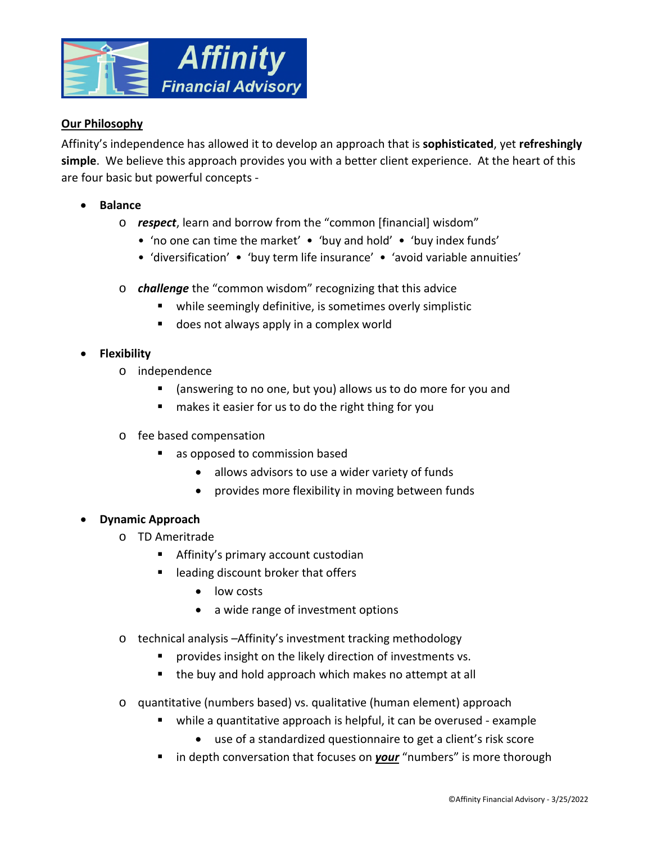

## **Our Philosophy**

Affinity's independence has allowed it to develop an approach that is **sophisticated**, yet **refreshingly simple**. We believe this approach provides you with a better client experience. At the heart of this are four basic but powerful concepts -

- **Balance** 
	- o *respect*, learn and borrow from the "common [financial] wisdom"
		- 'no one can time the market' 'buy and hold' 'buy index funds'
		- 'diversification' 'buy term life insurance' 'avoid variable annuities'
	- o *challenge* the "common wisdom" recognizing that this advice
		- while seemingly definitive, is sometimes overly simplistic
		- **does not always apply in a complex world**

## **Flexibility**

- o independence
	- (answering to no one, but you) allows us to do more for you and
	- makes it easier for us to do the right thing for you
- o fee based compensation
	- **a** as opposed to commission based
		- allows advisors to use a wider variety of funds
		- provides more flexibility in moving between funds

## **Dynamic Approach**

- o TD Ameritrade
	- **Affinity's primary account custodian**
	- leading discount broker that offers
		- low costs
		- a wide range of investment options
- o technical analysis –Affinity's investment tracking methodology
	- **Perovides insight on the likely direction of investments vs.**
	- the buy and hold approach which makes no attempt at all
- o quantitative (numbers based) vs. qualitative (human element) approach
	- while a quantitative approach is helpful, it can be overused example
		- use of a standardized questionnaire to get a client's risk score
	- **I** in depth conversation that focuses on **your** "numbers" is more thorough